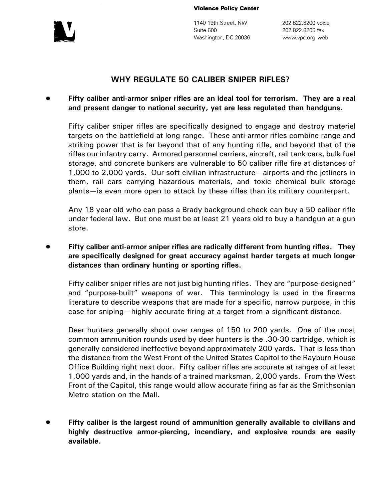

**Violence Policy Center** 

1140 19th Street, NW Suite 600 Washington, DC 20036

202.822.8200 voice 202.822.8205 fax www.vpc.org web

## **WHY REGULATE 50 CALIBER SNIPER RIFLES?**

## ! **Fifty caliber anti-armor sniper rifles are an ideal tool for terrorism. They are a real and present danger to national security, yet are less regulated than handguns.**

Fifty caliber sniper rifles are specifically designed to engage and destroy materiel targets on the battlefield at long range. These anti-armor rifles combine range and striking power that is far beyond that of any hunting rifle, and beyond that of the rifles our infantry carry. Armored personnel carriers, aircraft, rail tank cars, bulk fuel storage, and concrete bunkers are vulnerable to 50 caliber rifle fire at distances of 1,000 to 2,000 yards. Our soft civilian infrastructure—airports and the jetliners in them, rail cars carrying hazardous materials, and toxic chemical bulk storage plants—is even more open to attack by these rifles than its military counterpart.

Any 18 year old who can pass a Brady background check can buy a 50 caliber rifle under federal law. But one must be at least 21 years old to buy a handgun at a gun store.

## ! **Fifty caliber anti-armor sniper rifles are radically different from hunting rifles. They are specifically designed for great accuracy against harder targets at much longer distances than ordinary hunting or sporting rifles.**

Fifty caliber sniper rifles are not just big hunting rifles. They are "purpose-designed" and "purpose-built" weapons of war. This terminology is used in the firearms literature to describe weapons that are made for a specific, narrow purpose, in this case for sniping—highly accurate firing at a target from a significant distance.

Deer hunters generally shoot over ranges of 150 to 200 yards. One of the most common ammunition rounds used by deer hunters is the .30-30 cartridge, which is generally considered ineffective beyond approximately 200 yards. That is less than the distance from the West Front of the United States Capitol to the Rayburn House Office Building right next door. Fifty caliber rifles are accurate at ranges of at least 1,000 yards and, in the hands of a trained marksman, 2,000 yards. From the West Front of the Capitol, this range would allow accurate firing as far as the Smithsonian Metro station on the Mall.

! **Fifty caliber is the largest round of ammunition generally available to civilians and highly destructive armor-piercing, incendiary, and explosive rounds are easily available.**